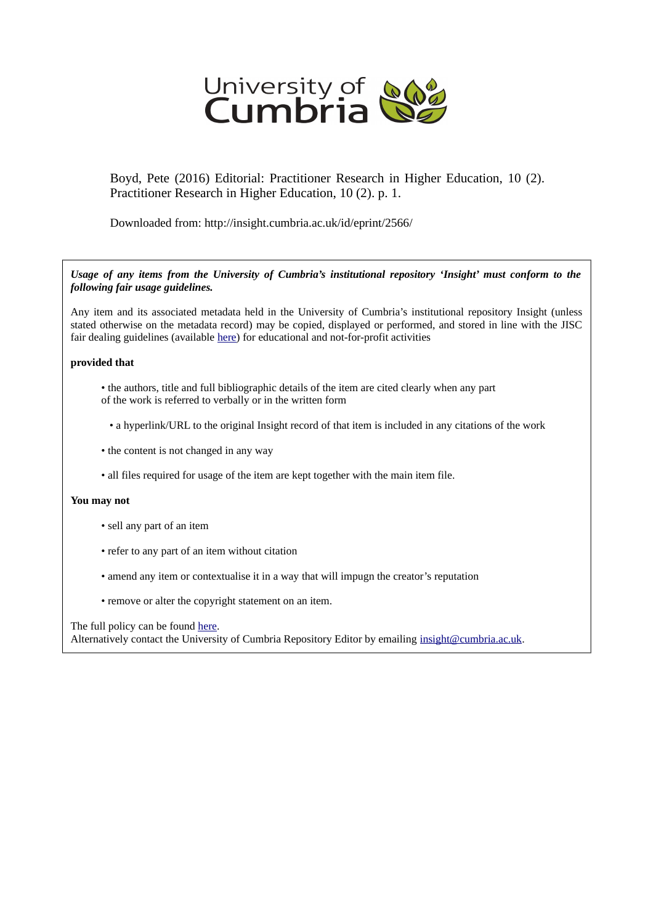

Boyd, Pete (2016) Editorial: Practitioner Research in Higher Education, 10 (2). Practitioner Research in Higher Education, 10 (2). p. 1.

Downloaded from: http://insight.cumbria.ac.uk/id/eprint/2566/

*Usage of any items from the University of Cumbria's institutional repository 'Insight' must conform to the following fair usage guidelines.*

Any item and its associated metadata held in the University of Cumbria's institutional repository Insight (unless stated otherwise on the metadata record) may be copied, displayed or performed, and stored in line with the JISC fair dealing guidelines (available [here\)](http://www.ukoln.ac.uk/services/elib/papers/pa/fair/) for educational and not-for-profit activities

#### **provided that**

- the authors, title and full bibliographic details of the item are cited clearly when any part of the work is referred to verbally or in the written form
	- a hyperlink/URL to the original Insight record of that item is included in any citations of the work
- the content is not changed in any way
- all files required for usage of the item are kept together with the main item file.

#### **You may not**

- sell any part of an item
- refer to any part of an item without citation
- amend any item or contextualise it in a way that will impugn the creator's reputation
- remove or alter the copyright statement on an item.

The full policy can be found [here.](http://insight.cumbria.ac.uk/legal.html#section5)

Alternatively contact the University of Cumbria Repository Editor by emailing [insight@cumbria.ac.uk.](mailto:insight@cumbria.ac.uk)